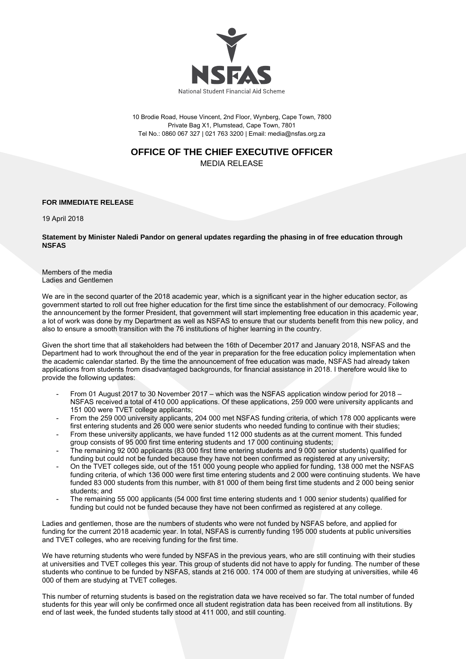

10 Brodie Road, House Vincent, 2nd Floor, Wynberg, Cape Town, 7800 Private Bag X1, Plumstead, Cape Town, 7801 Tel No.: 0860 067 327 | 021 763 3200 | Email: media@nsfas.org.za

## **OFFICE OF THE CHIEF EXECUTIVE OFFICER**

MEDIA RELEASE

## **FOR IMMEDIATE RELEASE**

19 April 2018

**Statement by Minister Naledi Pandor on general updates regarding the phasing in of free education through NSFAS** 

Members of the media Ladies and Gentlemen

We are in the second quarter of the 2018 academic year, which is a significant year in the higher education sector, as government started to roll out free higher education for the first time since the establishment of our democracy. Following the announcement by the former President, that government will start implementing free education in this academic year, a lot of work was done by my Department as well as NSFAS to ensure that our students benefit from this new policy, and also to ensure a smooth transition with the 76 institutions of higher learning in the country.

Given the short time that all stakeholders had between the 16th of December 2017 and January 2018, NSFAS and the Department had to work throughout the end of the year in preparation for the free education policy implementation when the academic calendar started. By the time the announcement of free education was made, NSFAS had already taken applications from students from disadvantaged backgrounds, for financial assistance in 2018. I therefore would like to provide the following updates:

- From 01 August 2017 to 30 November 2017 which was the NSFAS application window period for 2018 NSFAS received a total of 410 000 applications. Of these applications, 259 000 were university applicants and 151 000 were TVET college applicants;
- From the 259 000 university applicants, 204 000 met NSFAS funding criteria, of which 178 000 applicants were first entering students and 26 000 were senior students who needed funding to continue with their studies;
- From these university applicants, we have funded 112 000 students as at the current moment. This funded group consists of 95 000 first time entering students and 17 000 continuing students;
- The remaining 92 000 applicants (83 000 first time entering students and 9 000 senior students) qualified for funding but could not be funded because they have not been confirmed as registered at any university;
- On the TVET colleges side, out of the 151 000 young people who applied for funding, 138 000 met the NSFAS funding criteria, of which 136 000 were first time entering students and 2 000 were continuing students. We have funded 83 000 students from this number, with 81 000 of them being first time students and 2 000 being senior students; and
- The remaining 55 000 applicants (54 000 first time entering students and 1 000 senior students) qualified for funding but could not be funded because they have not been confirmed as registered at any college.

Ladies and gentlemen, those are the numbers of students who were not funded by NSFAS before, and applied for funding for the current 2018 academic year. In total, NSFAS is currently funding 195 000 students at public universities and TVET colleges, who are receiving funding for the first time.

We have returning students who were funded by NSFAS in the previous years, who are still continuing with their studies at universities and TVET colleges this year. This group of students did not have to apply for funding. The number of these students who continue to be funded by NSFAS, stands at 216 000. 174 000 of them are studying at universities, while 46 000 of them are studying at TVET colleges.

This number of returning students is based on the registration data we have received so far. The total number of funded students for this year will only be confirmed once all student registration data has been received from all institutions. By end of last week, the funded students tally stood at 411 000, and still counting.